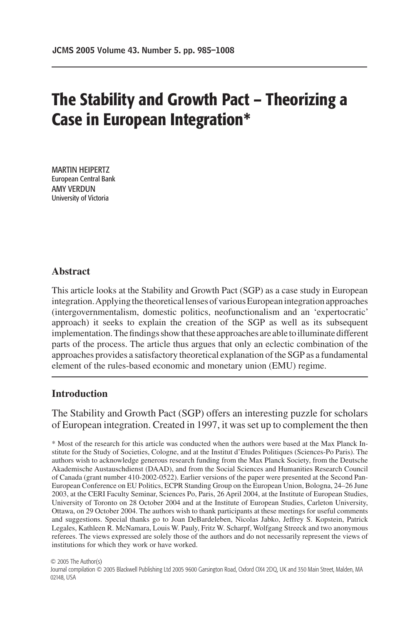# The Stability and Growth Pact – Theorizing a Case in European Integration\*

MARTIN HEIPERTZ European Central Bank AMY VERDUN University of Victoria

## **Abstract**

This article looks at the Stability and Growth Pact (SGP) as a case study in European integration. Applying the theoretical lenses of various European integration approaches (intergovernmentalism, domestic politics, neofunctionalism and an 'expertocratic' approach) it seeks to explain the creation of the SGP as well as its subsequent implementation. The findings show that these approaches are able to illuminate different parts of the process. The article thus argues that only an eclectic combination of the approaches provides a satisfactory theoretical explanation of the SGP as a fundamental element of the rules-based economic and monetary union (EMU) regime.

## **Introduction**

The Stability and Growth Pact (SGP) offers an interesting puzzle for scholars of European integration. Created in 1997, it was set up to complement the then

\* Most of the research for this article was conducted when the authors were based at the Max Planck Institute for the Study of Societies, Cologne, and at the Institut d'Etudes Politiques (Sciences-Po Paris). The authors wish to acknowledge generous research funding from the Max Planck Society, from the Deutsche Akademische Austauschdienst (DAAD), and from the Social Sciences and Humanities Research Council of Canada (grant number 410-2002-0522). Earlier versions of the paper were presented at the Second Pan-European Conference on EU Politics, ECPR Standing Group on the European Union, Bologna, 24–26 June 2003, at the CERI Faculty Seminar, Sciences Po, Paris, 26 April 2004, at the Institute of European Studies, University of Toronto on 28 October 2004 and at the Institute of European Studies, Carleton University, Ottawa, on 29 October 2004. The authors wish to thank participants at these meetings for useful comments and suggestions. Special thanks go to Joan DeBardeleben, Nicolas Jabko, Jeffrey S. Kopstein, Patrick Legales, Kathleen R. McNamara, Louis W. Pauly, Fritz W. Scharpf, Wolfgang Streeck and two anonymous referees. The views expressed are solely those of the authors and do not necessarily represent the views of institutions for which they work or have worked.

© 2005 The Author(s) Journal compilation © 2005 Blackwell Publishing Ltd 2005 9600 Garsington Road, Oxford OX4 2DQ, UK and 350 Main Street, Malden, MA 02148, USA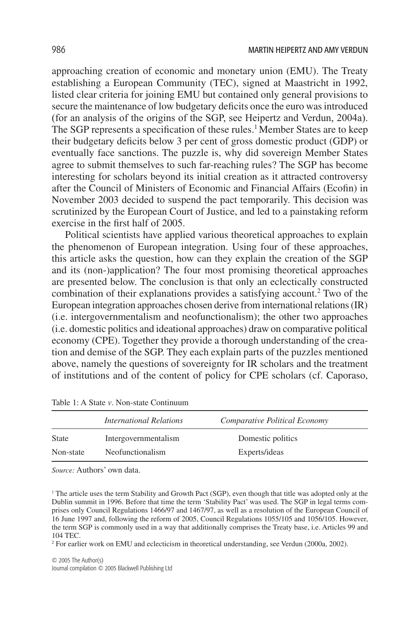approaching creation of economic and monetary union (EMU). The Treaty establishing a European Community (TEC), signed at Maastricht in 1992, listed clear criteria for joining EMU but contained only general provisions to secure the maintenance of low budgetary deficits once the euro was introduced (for an analysis of the origins of the SGP, see Heipertz and Verdun, 2004a). The SGP represents a specification of these rules.<sup>1</sup> Member States are to keep their budgetary deficits below 3 per cent of gross domestic product (GDP) or eventually face sanctions. The puzzle is, why did sovereign Member States agree to submit themselves to such far-reaching rules? The SGP has become interesting for scholars beyond its initial creation as it attracted controversy after the Council of Ministers of Economic and Financial Affairs (Ecofin) in November 2003 decided to suspend the pact temporarily. This decision was scrutinized by the European Court of Justice, and led to a painstaking reform exercise in the first half of 2005.

Political scientists have applied various theoretical approaches to explain the phenomenon of European integration. Using four of these approaches, this article asks the question, how can they explain the creation of the SGP and its (non-)application? The four most promising theoretical approaches are presented below. The conclusion is that only an eclectically constructed combination of their explanations provides a satisfying account.2 Two of the European integration approaches chosen derive from international relations (IR) (i.e. intergovernmentalism and neofunctionalism); the other two approaches (i.e. domestic politics and ideational approaches) draw on comparative political economy (CPE). Together they provide a thorough understanding of the creation and demise of the SGP. They each explain parts of the puzzles mentioned above, namely the questions of sovereignty for IR scholars and the treatment of institutions and of the content of policy for CPE scholars (cf. Caporaso,

|              | <i>International Relations</i> | Comparative Political Economy |
|--------------|--------------------------------|-------------------------------|
| <b>State</b> | Intergovernmentalism           | Domestic politics             |
| Non-state    | Neofunctionalism               | Experts/ideas                 |

Table 1: A State *v*. Non-state Continuum

*Source:* Authors' own data.

<sup>1</sup> The article uses the term Stability and Growth Pact (SGP), even though that title was adopted only at the Dublin summit in 1996. Before that time the term 'Stability Pact' was used. The SGP in legal terms comprises only Council Regulations 1466/97 and 1467/97, as well as a resolution of the European Council of 16 June 1997 and, following the reform of 2005, Council Regulations 1055/105 and 1056/105. However, the term SGP is commonly used in a way that additionally comprises the Treaty base, i.e. Articles 99 and 104 TEC.

<sup>2</sup> For earlier work on EMU and eclecticism in theoretical understanding, see Verdun (2000a, 2002).

© 2005 The Author(s) Journal compilation © 2005 Blackwell Publishing Ltd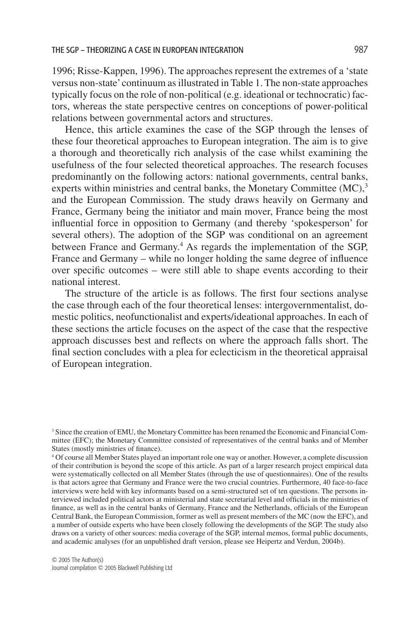#### THE SGP – THEORIZING A CASE IN EUROPEAN INTEGRATION

1996; Risse-Kappen, 1996). The approaches represent the extremes of a 'state versus non-state' continuum as illustrated in Table 1. The non-state approaches typically focus on the role of non-political (e.g. ideational or technocratic) factors, whereas the state perspective centres on conceptions of power-political relations between governmental actors and structures.

Hence, this article examines the case of the SGP through the lenses of these four theoretical approaches to European integration. The aim is to give a thorough and theoretically rich analysis of the case whilst examining the usefulness of the four selected theoretical approaches. The research focuses predominantly on the following actors: national governments, central banks, experts within ministries and central banks, the Monetary Committee  $(MC)<sup>3</sup>$ and the European Commission. The study draws heavily on Germany and France, Germany being the initiator and main mover, France being the most influential force in opposition to Germany (and thereby 'spokesperson' for several others). The adoption of the SGP was conditional on an agreement between France and Germany.<sup>4</sup> As regards the implementation of the SGP, France and Germany – while no longer holding the same degree of influence over specific outcomes – were still able to shape events according to their national interest.

The structure of the article is as follows. The first four sections analyse the case through each of the four theoretical lenses: intergovernmentalist, domestic politics, neofunctionalist and experts/ideational approaches. In each of these sections the article focuses on the aspect of the case that the respective approach discusses best and reflects on where the approach falls short. The final section concludes with a plea for eclecticism in the theoretical appraisal of European integration.

<sup>&</sup>lt;sup>3</sup> Since the creation of EMU, the Monetary Committee has been renamed the Economic and Financial Committee (EFC); the Monetary Committee consisted of representatives of the central banks and of Member States (mostly ministries of finance).

<sup>4</sup> Of course all Member States played an important role one way or another. However, a complete discussion of their contribution is beyond the scope of this article. As part of a larger research project empirical data were systematically collected on all Member States (through the use of questionnaires). One of the results is that actors agree that Germany and France were the two crucial countries. Furthermore, 40 face-to-face interviews were held with key informants based on a semi-structured set of ten questions. The persons interviewed included political actors at ministerial and state secretarial level and officials in the ministries of finance, as well as in the central banks of Germany, France and the Netherlands, officials of the European Central Bank, the European Commission, former as well as present members of the MC (now the EFC), and a number of outside experts who have been closely following the developments of the SGP. The study also draws on a variety of other sources: media coverage of the SGP, internal memos, formal public documents, and academic analyses (for an unpublished draft version, please see Heipertz and Verdun, 2004b).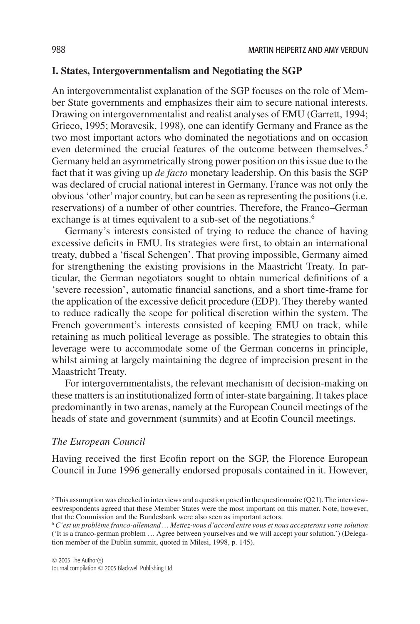## **I. States, Intergovernmentalism and Negotiating the SGP**

An intergovernmentalist explanation of the SGP focuses on the role of Member State governments and emphasizes their aim to secure national interests. Drawing on intergovernmentalist and realist analyses of EMU (Garrett, 1994; Grieco, 1995; Moravcsik, 1998), one can identify Germany and France as the two most important actors who dominated the negotiations and on occasion even determined the crucial features of the outcome between themselves.<sup>5</sup> Germany held an asymmetrically strong power position on this issue due to the fact that it was giving up *de facto* monetary leadership. On this basis the SGP was declared of crucial national interest in Germany. France was not only the obvious 'other' major country, but can be seen as representing the positions (i.e. reservations) of a number of other countries. Therefore, the Franco–German exchange is at times equivalent to a sub-set of the negotiations.<sup>6</sup>

Germany's interests consisted of trying to reduce the chance of having excessive deficits in EMU. Its strategies were first, to obtain an international treaty, dubbed a 'fiscal Schengen'. That proving impossible, Germany aimed for strengthening the existing provisions in the Maastricht Treaty. In particular, the German negotiators sought to obtain numerical definitions of a 'severe recession', automatic financial sanctions, and a short time-frame for the application of the excessive deficit procedure (EDP). They thereby wanted to reduce radically the scope for political discretion within the system. The French government's interests consisted of keeping EMU on track, while retaining as much political leverage as possible. The strategies to obtain this leverage were to accommodate some of the German concerns in principle, whilst aiming at largely maintaining the degree of imprecision present in the Maastricht Treaty.

For intergovernmentalists, the relevant mechanism of decision-making on these matters is an institutionalized form of inter-state bargaining. It takes place predominantly in two arenas, namely at the European Council meetings of the heads of state and government (summits) and at Ecofin Council meetings.

## *The European Council*

Having received the first Ecofin report on the SGP, the Florence European Council in June 1996 generally endorsed proposals contained in it. However,

 $5$  This assumption was checked in interviews and a question posed in the questionnaire (Q21). The interviewees/respondents agreed that these Member States were the most important on this matter. Note, however, that the Commission and the Bundesbank were also seen as important actors.

<sup>6</sup> *C'est un problème franco-allemand … Mettez-vous d'accord entre vous et nous accepterons votre solution*  ('It is a franco-german problem … Agree between yourselves and we will accept your solution.') (Delegation member of the Dublin summit, quoted in Milesi, 1998, p. 145).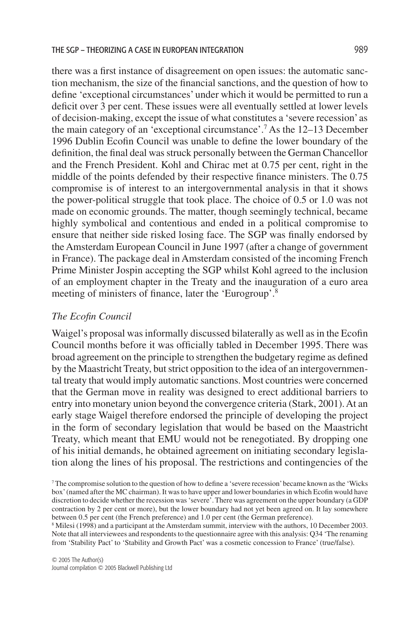there was a first instance of disagreement on open issues: the automatic sanction mechanism, the size of the financial sanctions, and the question of how to define 'exceptional circumstances' under which it would be permitted to run a deficit over 3 per cent. These issues were all eventually settled at lower levels of decision-making, except the issue of what constitutes a 'severe recession' as the main category of an 'exceptional circumstance'.7 As the 12–13 December 1996 Dublin Ecofin Council was unable to define the lower boundary of the definition, the final deal was struck personally between the German Chancellor and the French President. Kohl and Chirac met at 0.75 per cent, right in the middle of the points defended by their respective finance ministers. The 0.75 compromise is of interest to an intergovernmental analysis in that it shows the power-political struggle that took place. The choice of 0.5 or 1.0 was not made on economic grounds. The matter, though seemingly technical, became highly symbolical and contentious and ended in a political compromise to ensure that neither side risked losing face. The SGP was finally endorsed by the Amsterdam European Council in June 1997 (after a change of government in France). The package deal in Amsterdam consisted of the incoming French Prime Minister Jospin accepting the SGP whilst Kohl agreed to the inclusion of an employment chapter in the Treaty and the inauguration of a euro area meeting of ministers of finance, later the 'Eurogroup'.8

## *The Ecofin Council*

Waigel's proposal was informally discussed bilaterally as well as in the Ecofin Council months before it was officially tabled in December 1995. There was broad agreement on the principle to strengthen the budgetary regime as defined by the Maastricht Treaty, but strict opposition to the idea of an intergovernmental treaty that would imply automatic sanctions. Most countries were concerned that the German move in reality was designed to erect additional barriers to entry into monetary union beyond the convergence criteria (Stark, 2001). At an early stage Waigel therefore endorsed the principle of developing the project in the form of secondary legislation that would be based on the Maastricht Treaty, which meant that EMU would not be renegotiated. By dropping one of his initial demands, he obtained agreement on initiating secondary legislation along the lines of his proposal. The restrictions and contingencies of the

7 The compromise solution to the question of how to define a 'severe recession' became known as the 'Wicks box' (named after the MC chairman). It was to have upper and lower boundaries in which Ecofin would have discretion to decide whether the recession was 'severe'. There was agreement on the upper boundary (a GDP contraction by 2 per cent or more), but the lower boundary had not yet been agreed on. It lay somewhere between 0.5 per cent (the French preference) and 1.0 per cent (the German preference).

<sup>8</sup> Milesi (1998) and a participant at the Amsterdam summit, interview with the authors, 10 December 2003. Note that all interviewees and respondents to the questionnaire agree with this analysis: Q34 'The renaming from 'Stability Pact' to 'Stability and Growth Pact' was a cosmetic concession to France' (true/false).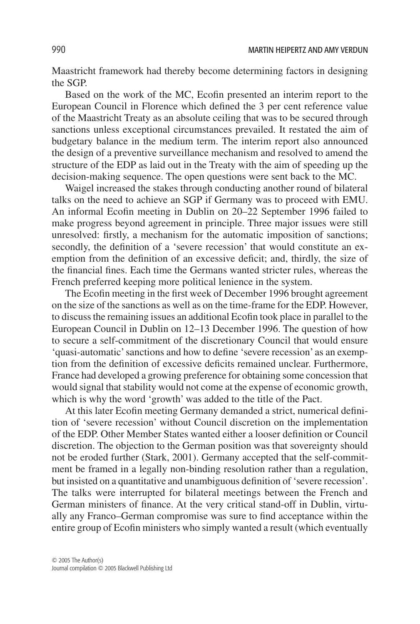Maastricht framework had thereby become determining factors in designing the SGP.

Based on the work of the MC, Ecofin presented an interim report to the European Council in Florence which defined the 3 per cent reference value of the Maastricht Treaty as an absolute ceiling that was to be secured through sanctions unless exceptional circumstances prevailed. It restated the aim of budgetary balance in the medium term. The interim report also announced the design of a preventive surveillance mechanism and resolved to amend the structure of the EDP as laid out in the Treaty with the aim of speeding up the decision-making sequence. The open questions were sent back to the MC.

Waigel increased the stakes through conducting another round of bilateral talks on the need to achieve an SGP if Germany was to proceed with EMU. An informal Ecofin meeting in Dublin on 20–22 September 1996 failed to make progress beyond agreement in principle. Three major issues were still unresolved: firstly, a mechanism for the automatic imposition of sanctions; secondly, the definition of a 'severe recession' that would constitute an exemption from the definition of an excessive deficit; and, thirdly, the size of the financial fines. Each time the Germans wanted stricter rules, whereas the French preferred keeping more political lenience in the system.

The Ecofin meeting in the first week of December 1996 brought agreement on the size of the sanctions as well as on the time-frame for the EDP. However, to discuss the remaining issues an additional Ecofin took place in parallel to the European Council in Dublin on 12–13 December 1996. The question of how to secure a self-commitment of the discretionary Council that would ensure 'quasi-automatic' sanctions and how to define 'severe recession' as an exemption from the definition of excessive deficits remained unclear. Furthermore, France had developed a growing preference for obtaining some concession that would signal that stability would not come at the expense of economic growth, which is why the word 'growth' was added to the title of the Pact.

At this later Ecofin meeting Germany demanded a strict, numerical definition of 'severe recession' without Council discretion on the implementation of the EDP. Other Member States wanted either a looser definition or Council discretion. The objection to the German position was that sovereignty should not be eroded further (Stark, 2001). Germany accepted that the self-commitment be framed in a legally non-binding resolution rather than a regulation, but insisted on a quantitative and unambiguous definition of 'severe recession'. The talks were interrupted for bilateral meetings between the French and German ministers of finance. At the very critical stand-off in Dublin, virtually any Franco–German compromise was sure to find acceptance within the entire group of Ecofin ministers who simply wanted a result (which eventually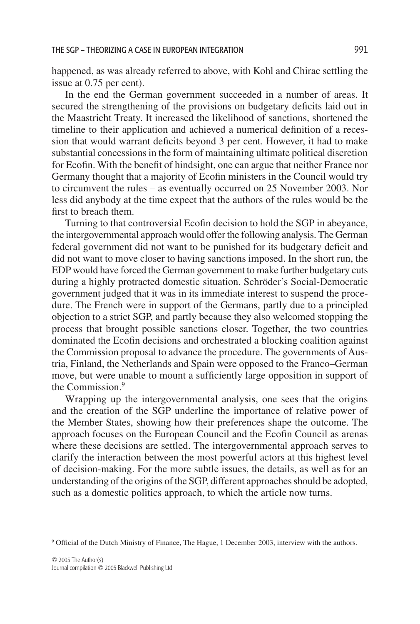happened, as was already referred to above, with Kohl and Chirac settling the issue at 0.75 per cent).

In the end the German government succeeded in a number of areas. It secured the strengthening of the provisions on budgetary deficits laid out in the Maastricht Treaty. It increased the likelihood of sanctions, shortened the timeline to their application and achieved a numerical definition of a recession that would warrant deficits beyond 3 per cent. However, it had to make substantial concessions in the form of maintaining ultimate political discretion for Ecofin. With the benefit of hindsight, one can argue that neither France nor Germany thought that a majority of Ecofin ministers in the Council would try to circumvent the rules – as eventually occurred on 25 November 2003. Nor less did anybody at the time expect that the authors of the rules would be the first to breach them.

Turning to that controversial Ecofin decision to hold the SGP in abeyance, the intergovernmental approach would offer the following analysis. The German federal government did not want to be punished for its budgetary deficit and did not want to move closer to having sanctions imposed. In the short run, the EDP would have forced the German government to make further budgetary cuts during a highly protracted domestic situation. Schröder's Social-Democratic government judged that it was in its immediate interest to suspend the procedure. The French were in support of the Germans, partly due to a principled objection to a strict SGP, and partly because they also welcomed stopping the process that brought possible sanctions closer. Together, the two countries dominated the Ecofin decisions and orchestrated a blocking coalition against the Commission proposal to advance the procedure. The governments of Austria, Finland, the Netherlands and Spain were opposed to the Franco–German move, but were unable to mount a sufficiently large opposition in support of the Commission.9

Wrapping up the intergovernmental analysis, one sees that the origins and the creation of the SGP underline the importance of relative power of the Member States, showing how their preferences shape the outcome. The approach focuses on the European Council and the Ecofin Council as arenas where these decisions are settled. The intergovernmental approach serves to clarify the interaction between the most powerful actors at this highest level of decision-making. For the more subtle issues, the details, as well as for an understanding of the origins of the SGP, different approaches should be adopted, such as a domestic politics approach, to which the article now turns.

<sup>9</sup> Official of the Dutch Ministry of Finance, The Hague, 1 December 2003, interview with the authors.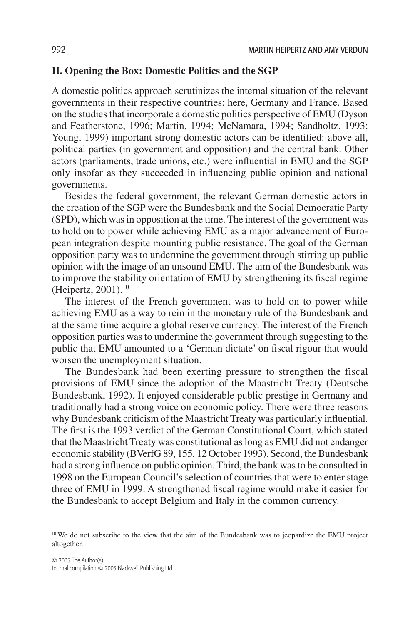# **II. Opening the Box: Domestic Politics and the SGP**

A domestic politics approach scrutinizes the internal situation of the relevant governments in their respective countries: here, Germany and France. Based on the studies that incorporate a domestic politics perspective of EMU (Dyson and Featherstone, 1996; Martin, 1994; McNamara, 1994; Sandholtz, 1993; Young, 1999) important strong domestic actors can be identified: above all, political parties (in government and opposition) and the central bank. Other actors (parliaments, trade unions, etc.) were influential in EMU and the SGP only insofar as they succeeded in influencing public opinion and national governments.

Besides the federal government, the relevant German domestic actors in the creation of the SGP were the Bundesbank and the Social Democratic Party (SPD), which was in opposition at the time. The interest of the government was to hold on to power while achieving EMU as a major advancement of European integration despite mounting public resistance. The goal of the German opposition party was to undermine the government through stirring up public opinion with the image of an unsound EMU. The aim of the Bundesbank was to improve the stability orientation of EMU by strengthening its fiscal regime (Heipertz, 2001).<sup>10</sup>

The interest of the French government was to hold on to power while achieving EMU as a way to rein in the monetary rule of the Bundesbank and at the same time acquire a global reserve currency. The interest of the French opposition parties was to undermine the government through suggesting to the public that EMU amounted to a 'German dictate' on fiscal rigour that would worsen the unemployment situation.

The Bundesbank had been exerting pressure to strengthen the fiscal provisions of EMU since the adoption of the Maastricht Treaty (Deutsche Bundesbank, 1992). It enjoyed considerable public prestige in Germany and traditionally had a strong voice on economic policy. There were three reasons why Bundesbank criticism of the Maastricht Treaty was particularly influential. The first is the 1993 verdict of the German Constitutional Court, which stated that the Maastricht Treaty was constitutional as long as EMU did not endanger economic stability (BVerfG 89, 155, 12 October 1993). Second, the Bundesbank had a strong influence on public opinion. Third, the bank was to be consulted in 1998 on the European Council's selection of countries that were to enter stage three of EMU in 1999. A strengthened fiscal regime would make it easier for the Bundesbank to accept Belgium and Italy in the common currency.

<sup>&</sup>lt;sup>10</sup> We do not subscribe to the view that the aim of the Bundesbank was to jeopardize the EMU project altogether.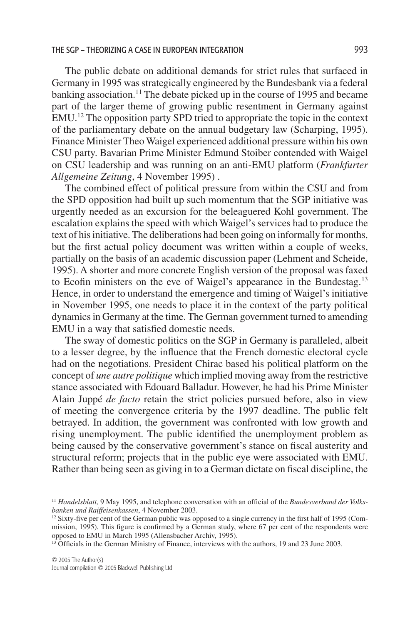#### THE SGP – THEORIZING A CASE IN EUROPEAN INTEGRATION

The public debate on additional demands for strict rules that surfaced in Germany in 1995 was strategically engineered by the Bundesbank via a federal banking association.<sup>11</sup> The debate picked up in the course of 1995 and became part of the larger theme of growing public resentment in Germany against EMU.12 The opposition party SPD tried to appropriate the topic in the context of the parliamentary debate on the annual budgetary law (Scharping, 1995). Finance Minister Theo Waigel experienced additional pressure within his own CSU party. Bavarian Prime Minister Edmund Stoiber contended with Waigel on CSU leadership and was running on an anti-EMU platform (*Frankfurter Allgemeine Zeitung*, 4 November 1995) .

The combined effect of political pressure from within the CSU and from the SPD opposition had built up such momentum that the SGP initiative was urgently needed as an excursion for the beleaguered Kohl government. The escalation explains the speed with which Waigel's services had to produce the text of his initiative. The deliberations had been going on informally for months, but the first actual policy document was written within a couple of weeks, partially on the basis of an academic discussion paper (Lehment and Scheide, 1995). A shorter and more concrete English version of the proposal was faxed to Ecofin ministers on the eve of Waigel's appearance in the Bundestag.<sup>13</sup> Hence, in order to understand the emergence and timing of Waigel's initiative in November 1995, one needs to place it in the context of the party political dynamics in Germany at the time. The German government turned to amending EMU in a way that satisfied domestic needs.

The sway of domestic politics on the SGP in Germany is paralleled, albeit to a lesser degree, by the influence that the French domestic electoral cycle had on the negotiations. President Chirac based his political platform on the concept of *une autre politique* which implied moving away from the restrictive stance associated with Edouard Balladur. However, he had his Prime Minister Alain Juppé *de facto* retain the strict policies pursued before, also in view of meeting the convergence criteria by the 1997 deadline. The public felt betrayed. In addition, the government was confronted with low growth and rising unemployment. The public identified the unemployment problem as being caused by the conservative government's stance on fiscal austerity and structural reform; projects that in the public eye were associated with EMU. Rather than being seen as giving in to a German dictate on fiscal discipline, the

<sup>11</sup> *Handelsblatt,* 9 May 1995, and telephone conversation with an official of the *Bundesverband der Volksbanken und Raiffeisenkassen*, 4 November 2003.

<sup>&</sup>lt;sup>12</sup> Sixty-five per cent of the German public was opposed to a single currency in the first half of 1995 (Commission, 1995). This figure is confirmed by a German study, where 67 per cent of the respondents were opposed to EMU in March 1995 (Allensbacher Archiv, 1995).

<sup>&</sup>lt;sup>13</sup> Officials in the German Ministry of Finance, interviews with the authors, 19 and 23 June 2003.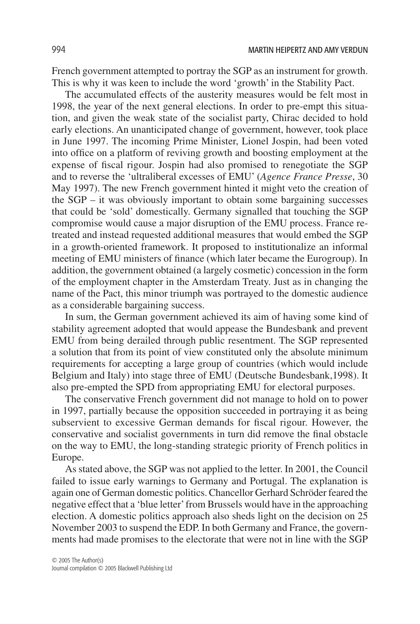French government attempted to portray the SGP as an instrument for growth. This is why it was keen to include the word 'growth' in the Stability Pact.

The accumulated effects of the austerity measures would be felt most in 1998, the year of the next general elections. In order to pre-empt this situation, and given the weak state of the socialist party, Chirac decided to hold early elections. An unanticipated change of government, however, took place in June 1997. The incoming Prime Minister, Lionel Jospin, had been voted into office on a platform of reviving growth and boosting employment at the expense of fiscal rigour. Jospin had also promised to renegotiate the SGP and to reverse the 'ultraliberal excesses of EMU' (*Agence France Presse*, 30 May 1997). The new French government hinted it might veto the creation of the SGP – it was obviously important to obtain some bargaining successes that could be 'sold' domestically. Germany signalled that touching the SGP compromise would cause a major disruption of the EMU process. France retreated and instead requested additional measures that would embed the SGP in a growth-oriented framework. It proposed to institutionalize an informal meeting of EMU ministers of finance (which later became the Eurogroup). In addition, the government obtained (a largely cosmetic) concession in the form of the employment chapter in the Amsterdam Treaty. Just as in changing the name of the Pact, this minor triumph was portrayed to the domestic audience as a considerable bargaining success.

In sum, the German government achieved its aim of having some kind of stability agreement adopted that would appease the Bundesbank and prevent EMU from being derailed through public resentment. The SGP represented a solution that from its point of view constituted only the absolute minimum requirements for accepting a large group of countries (which would include Belgium and Italy) into stage three of EMU (Deutsche Bundesbank,1998). It also pre-empted the SPD from appropriating EMU for electoral purposes.

The conservative French government did not manage to hold on to power in 1997, partially because the opposition succeeded in portraying it as being subservient to excessive German demands for fiscal rigour. However, the conservative and socialist governments in turn did remove the final obstacle on the way to EMU, the long-standing strategic priority of French politics in Europe.

As stated above, the SGP was not applied to the letter. In 2001, the Council failed to issue early warnings to Germany and Portugal. The explanation is again one of German domestic politics. Chancellor Gerhard Schröder feared the negative effect that a 'blue letter' from Brussels would have in the approaching election. A domestic politics approach also sheds light on the decision on 25 November 2003 to suspend the EDP. In both Germany and France, the governments had made promises to the electorate that were not in line with the SGP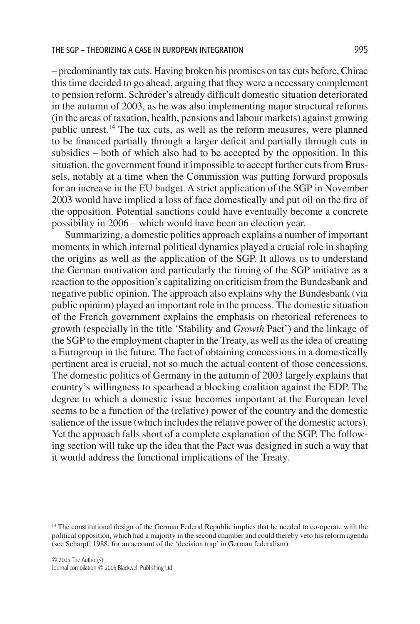– predominantly tax cuts. Having broken his promises on tax cuts before, Chirac this time decided to go ahead, arguing that they were a necessary complement to pension reform. Schröder's already difficult domestic situation deteriorated in the autumn of 2003, as he was also implementing major structural reforms (in the areas of taxation, health, pensions and labour markets) against growing public unrest.14 The tax cuts, as well as the reform measures, were planned to be financed partially through a larger deficit and partially through cuts in subsidies – both of which also had to be accepted by the opposition. In this situation, the government found it impossible to accept further cuts from Brussels, notably at a time when the Commission was putting forward proposals for an increase in the EU budget. A strict application of the SGP in November 2003 would have implied a loss of face domestically and put oil on the fire of the opposition. Potential sanctions could have eventually become a concrete possibility in 2006 – which would have been an election year.

Summarizing, a domestic politics approach explains a number of important moments in which internal political dynamics played a crucial role in shaping the origins as well as the application of the SGP. It allows us to understand the German motivation and particularly the timing of the SGP initiative as a reaction to the opposition's capitalizing on criticism from the Bundesbank and negative public opinion. The approach also explains why the Bundesbank (via public opinion) played an important role in the process. The domestic situation of the French government explains the emphasis on rhetorical references to growth (especially in the title 'Stability and *Growth* Pact') and the linkage of the SGP to the employment chapter in the Treaty, as well as the idea of creating a Eurogroup in the future. The fact of obtaining concessions in a domestically pertinent area is crucial, not so much the actual content of those concessions. The domestic politics of Germany in the autumn of 2003 largely explains that country's willingness to spearhead a blocking coalition against the EDP. The degree to which a domestic issue becomes important at the European level seems to be a function of the (relative) power of the country and the domestic salience of the issue (which includes the relative power of the domestic actors). Yet the approach falls short of a complete explanation of the SGP. The following section will take up the idea that the Pact was designed in such a way that it would address the functional implications of the Treaty.

<sup>&</sup>lt;sup>14</sup> The constitutional design of the German Federal Republic implies that he needed to co-operate with the political opposition, which had a majority in the second chamber and could thereby veto his reform agenda (see Scharpf, 1988, for an account of the 'decision trap' in German federalism).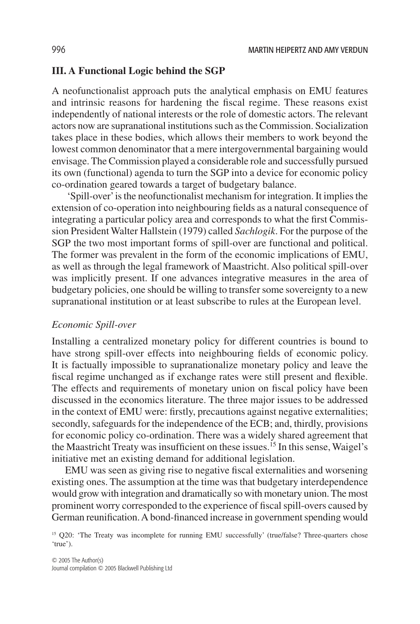## **III. A Functional Logic behind the SGP**

A neofunctionalist approach puts the analytical emphasis on EMU features and intrinsic reasons for hardening the fiscal regime. These reasons exist independently of national interests or the role of domestic actors. The relevant actors now are supranational institutions such as the Commission. Socialization takes place in these bodies, which allows their members to work beyond the lowest common denominator that a mere intergovernmental bargaining would envisage. The Commission played a considerable role and successfully pursued its own (functional) agenda to turn the SGP into a device for economic policy co-ordination geared towards a target of budgetary balance.

 'Spill-over' is the neofunctionalist mechanism for integration. It implies the extension of co-operation into neighbouring fields as a natural consequence of integrating a particular policy area and corresponds to what the first Commission President Walter Hallstein (1979) called *Sachlogik*. For the purpose of the SGP the two most important forms of spill-over are functional and political. The former was prevalent in the form of the economic implications of EMU, as well as through the legal framework of Maastricht. Also political spill-over was implicitly present. If one advances integrative measures in the area of budgetary policies, one should be willing to transfer some sovereignty to a new supranational institution or at least subscribe to rules at the European level.

#### *Economic Spill-over*

Installing a centralized monetary policy for different countries is bound to have strong spill-over effects into neighbouring fields of economic policy. It is factually impossible to supranationalize monetary policy and leave the fiscal regime unchanged as if exchange rates were still present and flexible. The effects and requirements of monetary union on fiscal policy have been discussed in the economics literature. The three major issues to be addressed in the context of EMU were: firstly, precautions against negative externalities; secondly, safeguards for the independence of the ECB; and, thirdly, provisions for economic policy co-ordination. There was a widely shared agreement that the Maastricht Treaty was insufficient on these issues.15 In this sense, Waigel's initiative met an existing demand for additional legislation.

EMU was seen as giving rise to negative fiscal externalities and worsening existing ones. The assumption at the time was that budgetary interdependence would grow with integration and dramatically so with monetary union. The most prominent worry corresponded to the experience of fiscal spill-overs caused by German reunification. A bond-financed increase in government spending would

<sup>&</sup>lt;sup>15</sup> Q20: 'The Treaty was incomplete for running EMU successfully' (true/false? Three-quarters chose 'true').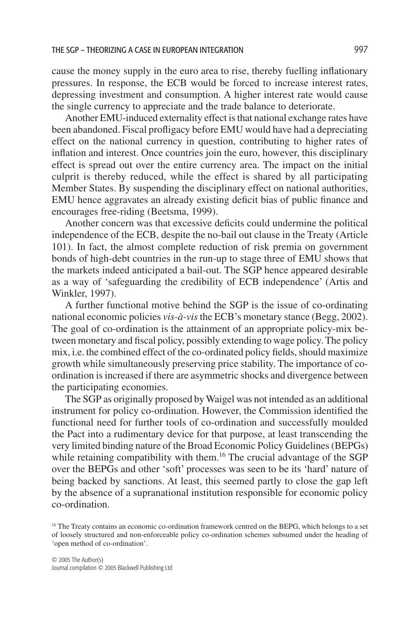cause the money supply in the euro area to rise, thereby fuelling inflationary pressures. In response, the ECB would be forced to increase interest rates, depressing investment and consumption. A higher interest rate would cause the single currency to appreciate and the trade balance to deteriorate.

Another EMU-induced externality effect is that national exchange rates have been abandoned. Fiscal profligacy before EMU would have had a depreciating effect on the national currency in question, contributing to higher rates of inflation and interest. Once countries join the euro, however, this disciplinary effect is spread out over the entire currency area. The impact on the initial culprit is thereby reduced, while the effect is shared by all participating Member States. By suspending the disciplinary effect on national authorities, EMU hence aggravates an already existing deficit bias of public finance and encourages free-riding (Beetsma, 1999).

Another concern was that excessive deficits could undermine the political independence of the ECB, despite the no-bail out clause in the Treaty (Article 101). In fact, the almost complete reduction of risk premia on government bonds of high-debt countries in the run-up to stage three of EMU shows that the markets indeed anticipated a bail-out. The SGP hence appeared desirable as a way of 'safeguarding the credibility of ECB independence' (Artis and Winkler, 1997).

A further functional motive behind the SGP is the issue of co-ordinating national economic policies *vis-à-vis* the ECB's monetary stance (Begg, 2002). The goal of co-ordination is the attainment of an appropriate policy-mix between monetary and fiscal policy, possibly extending to wage policy. The policy mix, i.e. the combined effect of the co-ordinated policy fields, should maximize growth while simultaneously preserving price stability. The importance of coordination is increased if there are asymmetric shocks and divergence between the participating economies.

The SGP as originally proposed by Waigel was not intended as an additional instrument for policy co-ordination. However, the Commission identified the functional need for further tools of co-ordination and successfully moulded the Pact into a rudimentary device for that purpose, at least transcending the very limited binding nature of the Broad Economic Policy Guidelines (BEPGs) while retaining compatibility with them.<sup>16</sup> The crucial advantage of the SGP over the BEPGs and other 'soft' processes was seen to be its 'hard' nature of being backed by sanctions. At least, this seemed partly to close the gap left by the absence of a supranational institution responsible for economic policy co-ordination.

<sup>&</sup>lt;sup>16</sup> The Treaty contains an economic co-ordination framework centred on the BEPG, which belongs to a set of loosely structured and non-enforceable policy co-ordination schemes subsumed under the heading of 'open method of co-ordination'.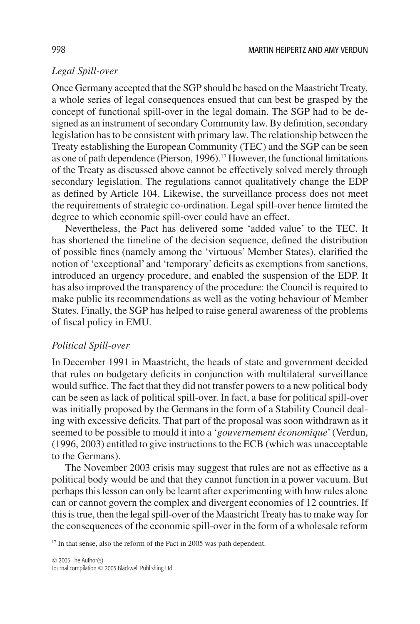## *Legal Spill-over*

Once Germany accepted that the SGP should be based on the Maastricht Treaty, a whole series of legal consequences ensued that can best be grasped by the concept of functional spill-over in the legal domain. The SGP had to be designed as an instrument of secondary Community law. By definition, secondary legislation has to be consistent with primary law. The relationship between the Treaty establishing the European Community (TEC) and the SGP can be seen as one of path dependence (Pierson, 1996).17 However, the functional limitations of the Treaty as discussed above cannot be effectively solved merely through secondary legislation. The regulations cannot qualitatively change the EDP as defined by Article 104. Likewise, the surveillance process does not meet the requirements of strategic co-ordination. Legal spill-over hence limited the degree to which economic spill-over could have an effect.

Nevertheless, the Pact has delivered some 'added value' to the TEC. It has shortened the timeline of the decision sequence, defined the distribution of possible fines (namely among the 'virtuous' Member States), clarified the notion of 'exceptional' and 'temporary' deficits as exemptions from sanctions, introduced an urgency procedure, and enabled the suspension of the EDP. It has also improved the transparency of the procedure: the Council is required to make public its recommendations as well as the voting behaviour of Member States. Finally, the SGP has helped to raise general awareness of the problems of fiscal policy in EMU.

#### *Political Spill-over*

In December 1991 in Maastricht, the heads of state and government decided that rules on budgetary deficits in conjunction with multilateral surveillance would suffice. The fact that they did not transfer powers to a new political body can be seen as lack of political spill-over. In fact, a base for political spill-over was initially proposed by the Germans in the form of a Stability Council dealing with excessive deficits. That part of the proposal was soon withdrawn as it seemed to be possible to mould it into a '*gouvernement économique*' (Verdun, (1996, 2003) entitled to give instructions to the ECB (which was unacceptable to the Germans).

The November 2003 crisis may suggest that rules are not as effective as a political body would be and that they cannot function in a power vacuum. But perhaps this lesson can only be learnt after experimenting with how rules alone can or cannot govern the complex and divergent economies of 12 countries. If this is true, then the legal spill-over of the Maastricht Treaty has to make way for the consequences of the economic spill-over in the form of a wholesale reform

<sup>17</sup> In that sense, also the reform of the Pact in 2005 was path dependent.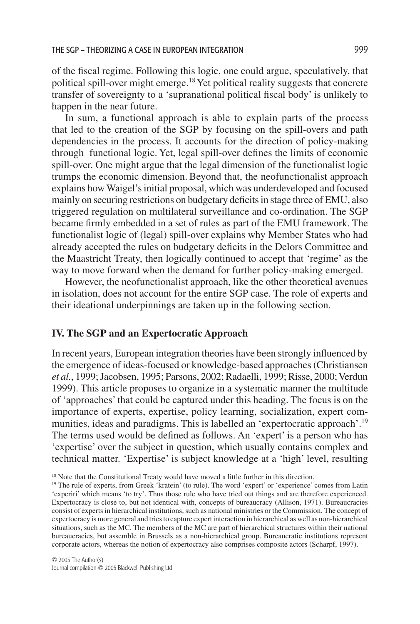of the fiscal regime. Following this logic, one could argue, speculatively, that political spill-over might emerge.18 Yet political reality suggests that concrete transfer of sovereignty to a 'supranational political fiscal body' is unlikely to happen in the near future.

In sum, a functional approach is able to explain parts of the process that led to the creation of the SGP by focusing on the spill-overs and path dependencies in the process. It accounts for the direction of policy-making through functional logic. Yet, legal spill-over defines the limits of economic spill-over. One might argue that the legal dimension of the functionalist logic trumps the economic dimension. Beyond that, the neofunctionalist approach explains how Waigel's initial proposal, which was underdeveloped and focused mainly on securing restrictions on budgetary deficits in stage three of EMU, also triggered regulation on multilateral surveillance and co-ordination. The SGP became firmly embedded in a set of rules as part of the EMU framework. The functionalist logic of (legal) spill-over explains why Member States who had already accepted the rules on budgetary deficits in the Delors Committee and the Maastricht Treaty, then logically continued to accept that 'regime' as the way to move forward when the demand for further policy-making emerged.

However, the neofunctionalist approach, like the other theoretical avenues in isolation, does not account for the entire SGP case. The role of experts and their ideational underpinnings are taken up in the following section.

## **IV. The SGP and an Expertocratic Approach**

In recent years, European integration theories have been strongly influenced by the emergence of ideas-focused or knowledge-based approaches (Christiansen *et al.*, 1999; Jacobsen, 1995; Parsons, 2002; Radaelli, 1999; Risse, 2000; Verdun 1999). This article proposes to organize in a systematic manner the multitude of 'approaches' that could be captured under this heading. The focus is on the importance of experts, expertise, policy learning, socialization, expert communities, ideas and paradigms. This is labelled an 'expertocratic approach'.<sup>19</sup> The terms used would be defined as follows. An 'expert' is a person who has 'expertise' over the subject in question, which usually contains complex and technical matter. 'Expertise' is subject knowledge at a 'high' level, resulting

<sup>&</sup>lt;sup>18</sup> Note that the Constitutional Treaty would have moved a little further in this direction.

<sup>&</sup>lt;sup>19</sup> The rule of experts, from Greek 'kratein' (to rule). The word 'expert' or 'experience' comes from Latin 'experiri' which means 'to try'. Thus those rule who have tried out things and are therefore experienced. Expertocracy is close to, but not identical with, concepts of bureaucracy (Allison, 1971). Bureaucracies consist of experts in hierarchical institutions, such as national ministries or the Commission. The concept of expertocracy is more general and tries to capture expert interaction in hierarchical as well as non-hierarchical situations, such as the MC. The members of the MC are part of hierarchical structures within their national bureaucracies, but assemble in Brussels as a non-hierarchical group. Bureaucratic institutions represent corporate actors, whereas the notion of expertocracy also comprises composite actors (Scharpf, 1997).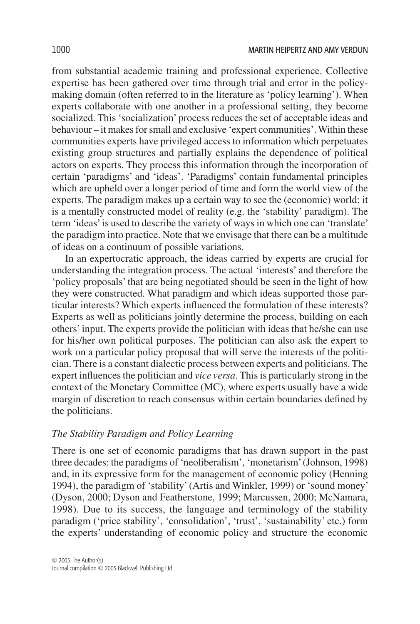from substantial academic training and professional experience. Collective expertise has been gathered over time through trial and error in the policymaking domain (often referred to in the literature as 'policy learning'). When experts collaborate with one another in a professional setting, they become socialized. This 'socialization' process reduces the set of acceptable ideas and behaviour – it makes for small and exclusive 'expert communities'. Within these communities experts have privileged access to information which perpetuates existing group structures and partially explains the dependence of political actors on experts. They process this information through the incorporation of certain 'paradigms' and 'ideas'. 'Paradigms' contain fundamental principles which are upheld over a longer period of time and form the world view of the experts. The paradigm makes up a certain way to see the (economic) world; it is a mentally constructed model of reality (e.g. the 'stability' paradigm). The term 'ideas' is used to describe the variety of ways in which one can 'translate' the paradigm into practice. Note that we envisage that there can be a multitude of ideas on a continuum of possible variations.

In an expertocratic approach, the ideas carried by experts are crucial for understanding the integration process. The actual 'interests' and therefore the 'policy proposals' that are being negotiated should be seen in the light of how they were constructed. What paradigm and which ideas supported those particular interests? Which experts influenced the formulation of these interests? Experts as well as politicians jointly determine the process, building on each others' input. The experts provide the politician with ideas that he/she can use for his/her own political purposes. The politician can also ask the expert to work on a particular policy proposal that will serve the interests of the politician. There is a constant dialectic process between experts and politicians. The expert influences the politician and *vice versa*. This is particularly strong in the context of the Monetary Committee (MC), where experts usually have a wide margin of discretion to reach consensus within certain boundaries defined by the politicians.

## *The Stability Paradigm and Policy Learning*

There is one set of economic paradigms that has drawn support in the past three decades: the paradigms of 'neoliberalism', 'monetarism' (Johnson, 1998) and, in its expressive form for the management of economic policy (Henning 1994), the paradigm of 'stability' (Artis and Winkler, 1999) or 'sound money' (Dyson, 2000; Dyson and Featherstone, 1999; Marcussen, 2000; McNamara, 1998). Due to its success, the language and terminology of the stability paradigm ('price stability', 'consolidation', 'trust', 'sustainability' etc.) form the experts' understanding of economic policy and structure the economic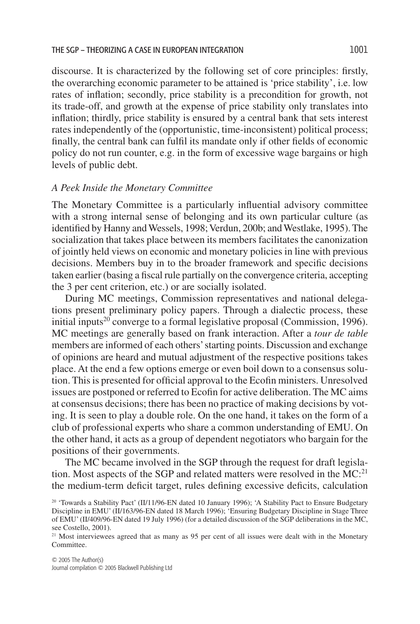#### THE SGP – THEORIZING A CASE IN EUROPEAN INTEGRATION

discourse. It is characterized by the following set of core principles: firstly, the overarching economic parameter to be attained is 'price stability', i.e. low rates of inflation; secondly, price stability is a precondition for growth, not its trade-off, and growth at the expense of price stability only translates into inflation; thirdly, price stability is ensured by a central bank that sets interest rates independently of the (opportunistic, time-inconsistent) political process; finally, the central bank can fulfil its mandate only if other fields of economic policy do not run counter, e.g. in the form of excessive wage bargains or high levels of public debt.

#### *A Peek Inside the Monetary Committee*

The Monetary Committee is a particularly influential advisory committee with a strong internal sense of belonging and its own particular culture (as identified by Hanny and Wessels, 1998; Verdun, 200b; and Westlake, 1995). The socialization that takes place between its members facilitates the canonization of jointly held views on economic and monetary policies in line with previous decisions. Members buy in to the broader framework and specific decisions taken earlier (basing a fiscal rule partially on the convergence criteria, accepting the 3 per cent criterion, etc.) or are socially isolated.

During MC meetings, Commission representatives and national delegations present preliminary policy papers. Through a dialectic process, these initial inputs<sup>20</sup> converge to a formal legislative proposal (Commission, 1996). MC meetings are generally based on frank interaction. After a *tour de table* members are informed of each others' starting points. Discussion and exchange of opinions are heard and mutual adjustment of the respective positions takes place. At the end a few options emerge or even boil down to a consensus solution. This is presented for official approval to the Ecofin ministers. Unresolved issues are postponed or referred to Ecofin for active deliberation. The MC aims at consensus decisions; there has been no practice of making decisions by voting. It is seen to play a double role. On the one hand, it takes on the form of a club of professional experts who share a common understanding of EMU. On the other hand, it acts as a group of dependent negotiators who bargain for the positions of their governments.

The MC became involved in the SGP through the request for draft legislation. Most aspects of the SGP and related matters were resolved in the  $MC<sup>21</sup>$ the medium-term deficit target, rules defining excessive deficits, calculation

<sup>&</sup>lt;sup>20</sup> 'Towards a Stability Pact' (II/11/96-EN dated 10 January 1996); 'A Stability Pact to Ensure Budgetary Discipline in EMU' (II/163/96-EN dated 18 March 1996); 'Ensuring Budgetary Discipline in Stage Three of EMU' (II/409/96-EN dated 19 July 1996) (for a detailed discussion of the SGP deliberations in the MC, see Costello, 2001).

<sup>&</sup>lt;sup>21</sup> Most interviewees agreed that as many as 95 per cent of all issues were dealt with in the Monetary Committee.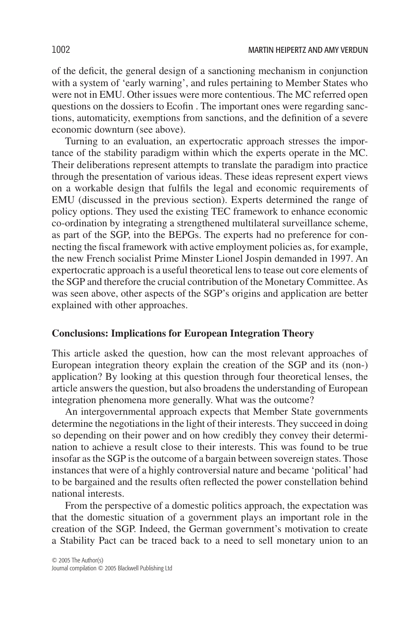of the deficit, the general design of a sanctioning mechanism in conjunction with a system of 'early warning', and rules pertaining to Member States who were not in EMU. Other issues were more contentious. The MC referred open questions on the dossiers to Ecofin . The important ones were regarding sanctions, automaticity, exemptions from sanctions, and the definition of a severe economic downturn (see above).

Turning to an evaluation, an expertocratic approach stresses the importance of the stability paradigm within which the experts operate in the MC. Their deliberations represent attempts to translate the paradigm into practice through the presentation of various ideas. These ideas represent expert views on a workable design that fulfils the legal and economic requirements of EMU (discussed in the previous section). Experts determined the range of policy options. They used the existing TEC framework to enhance economic co-ordination by integrating a strengthened multilateral surveillance scheme, as part of the SGP, into the BEPGs. The experts had no preference for connecting the fiscal framework with active employment policies as, for example, the new French socialist Prime Minster Lionel Jospin demanded in 1997. An expertocratic approach is a useful theoretical lens to tease out core elements of the SGP and therefore the crucial contribution of the Monetary Committee. As was seen above, other aspects of the SGP's origins and application are better explained with other approaches.

# **Conclusions: Implications for European Integration Theory**

This article asked the question, how can the most relevant approaches of European integration theory explain the creation of the SGP and its (non-) application? By looking at this question through four theoretical lenses, the article answers the question, but also broadens the understanding of European integration phenomena more generally. What was the outcome?

An intergovernmental approach expects that Member State governments determine the negotiations in the light of their interests. They succeed in doing so depending on their power and on how credibly they convey their determination to achieve a result close to their interests. This was found to be true insofar as the SGP is the outcome of a bargain between sovereign states. Those instances that were of a highly controversial nature and became 'political' had to be bargained and the results often reflected the power constellation behind national interests.

From the perspective of a domestic politics approach, the expectation was that the domestic situation of a government plays an important role in the creation of the SGP. Indeed, the German government's motivation to create a Stability Pact can be traced back to a need to sell monetary union to an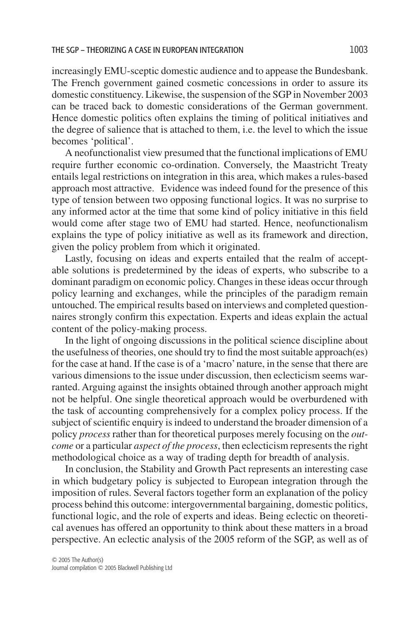increasingly EMU-sceptic domestic audience and to appease the Bundesbank. The French government gained cosmetic concessions in order to assure its domestic constituency. Likewise, the suspension of the SGP in November 2003 can be traced back to domestic considerations of the German government. Hence domestic politics often explains the timing of political initiatives and the degree of salience that is attached to them, i.e. the level to which the issue becomes 'political'.

A neofunctionalist view presumed that the functional implications of EMU require further economic co-ordination. Conversely, the Maastricht Treaty entails legal restrictions on integration in this area, which makes a rules-based approach most attractive. Evidence was indeed found for the presence of this type of tension between two opposing functional logics. It was no surprise to any informed actor at the time that some kind of policy initiative in this field would come after stage two of EMU had started. Hence, neofunctionalism explains the type of policy initiative as well as its framework and direction, given the policy problem from which it originated.

Lastly, focusing on ideas and experts entailed that the realm of acceptable solutions is predetermined by the ideas of experts, who subscribe to a dominant paradigm on economic policy. Changes in these ideas occur through policy learning and exchanges, while the principles of the paradigm remain untouched. The empirical results based on interviews and completed questionnaires strongly confirm this expectation. Experts and ideas explain the actual content of the policy-making process.

In the light of ongoing discussions in the political science discipline about the usefulness of theories, one should try to find the most suitable approach(es) for the case at hand. If the case is of a 'macro' nature, in the sense that there are various dimensions to the issue under discussion, then eclecticism seems warranted. Arguing against the insights obtained through another approach might not be helpful. One single theoretical approach would be overburdened with the task of accounting comprehensively for a complex policy process. If the subject of scientific enquiry is indeed to understand the broader dimension of a policy *process* rather than for theoretical purposes merely focusing on the *outcome* or a particular *aspect of the process*, then eclecticism represents the right methodological choice as a way of trading depth for breadth of analysis.

In conclusion, the Stability and Growth Pact represents an interesting case in which budgetary policy is subjected to European integration through the imposition of rules. Several factors together form an explanation of the policy process behind this outcome: intergovernmental bargaining, domestic politics, functional logic, and the role of experts and ideas. Being eclectic on theoretical avenues has offered an opportunity to think about these matters in a broad perspective. An eclectic analysis of the 2005 reform of the SGP, as well as of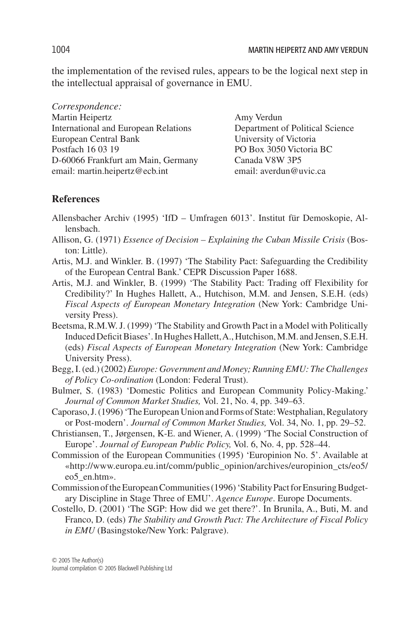the implementation of the revised rules, appears to be the logical next step in the intellectual appraisal of governance in EMU.

| Correspondence:                      |                                 |
|--------------------------------------|---------------------------------|
| Martin Heipertz                      | Amy Verdun                      |
| International and European Relations | Department of Political Science |
| European Central Bank                | University of Victoria          |
| Postfach 16 03 19                    | PO Box 3050 Victoria BC         |
| D-60066 Frankfurt am Main, Germany   | Canada V8W 3P5                  |
| email: martin.heipertz@ecb.int       | email: averdun@uvic.ca          |

# **References**

- Allensbacher Archiv (1995) 'IfD Umfragen 6013'. Institut für Demoskopie, Allensbach.
- Allison, G. (1971) *Essence of Decision Explaining the Cuban Missile Crisis* (Boston: Little).
- Artis, M.J. and Winkler. B. (1997) 'The Stability Pact: Safeguarding the Credibility of the European Central Bank.' CEPR Discussion Paper 1688.
- Artis, M.J. and Winkler, B. (1999) 'The Stability Pact: Trading off Flexibility for Credibility?' In Hughes Hallett, A., Hutchison, M.M. and Jensen, S.E.H. (eds) *Fiscal Aspects of European Monetary Integration* (New York: Cambridge University Press).
- Beetsma, R.M.W. J. (1999) 'The Stability and Growth Pact in a Model with Politically Induced Deficit Biases'. In Hughes Hallett, A., Hutchison, M.M. and Jensen, S.E.H. (eds) *Fiscal Aspects of European Monetary Integration* (New York: Cambridge University Press).
- Begg, I. (ed.) (2002) *Europe: Government and Money; Running EMU: The Challenges of Policy Co-ordination* (London: Federal Trust).
- Bulmer, S. (1983) 'Domestic Politics and European Community Policy-Making.' *Journal of Common Market Studies,* Vol. 21, No. 4, pp. 349–63.
- Caporaso, J. (1996) 'The European Union and Forms of State: Westphalian, Regulatory or Post-modern'. *Journal of Common Market Studies,* Vol. 34, No. 1, pp. 29–52.
- Christiansen, T., Jørgensen, K-E. and Wiener, A. (1999) 'The Social Construction of Europe'. *Journal of European Public Policy,* Vol. 6, No. 4, pp. 528–44.
- Commission of the European Communities (1995) 'Europinion No. 5'. Available at «http://www.europa.eu.int/comm/public\_opinion/archives/europinion\_cts/eo5/ eo5\_en.htm».
- Commission of the European Communities (1996) 'Stability Pact for Ensuring Budgetary Discipline in Stage Three of EMU'. *Agence Europe*. Europe Documents.
- Costello, D. (2001) 'The SGP: How did we get there?'. In Brunila, A., Buti, M. and Franco, D. (eds) *The Stability and Growth Pact: The Architecture of Fiscal Policy in EMU* (Basingstoke/New York: Palgrave).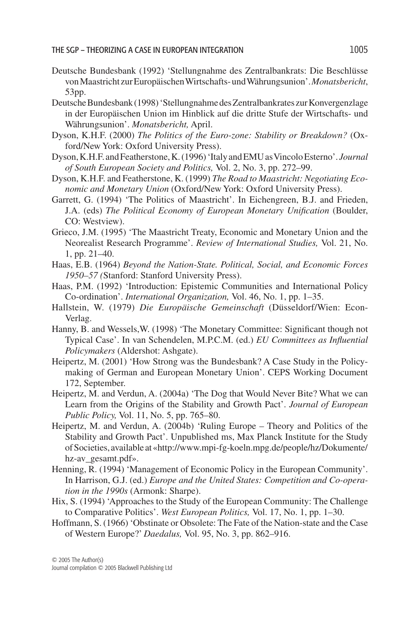- Deutsche Bundesbank (1992) 'Stellungnahme des Zentralbankrats: Die Beschlüsse von Maastricht zur Europäischen Wirtschafts- und Währungsunion'. *Monatsbericht*, 53pp.
- Deutsche Bundesbank (1998) 'Stellungnahme des Zentralbankrates zur Konvergenzlage in der Europäischen Union im Hinblick auf die dritte Stufe der Wirtschafts- und Währungsunion'. *Monatsbericht,* April.
- Dyson, K.H.F. (2000) *The Politics of the Euro-zone: Stability or Breakdown?* (Oxford/New York: Oxford University Press).
- Dyson, K.H.F. and Featherstone, K. (1996) 'Italy and EMU as Vincolo Esterno'. *Journal of South European Society and Politics,* Vol. 2, No. 3, pp. 272–99.
- Dyson, K.H.F. and Featherstone, K. (1999) *The Road to Maastricht: Negotiating Economic and Monetary Union* (Oxford/New York: Oxford University Press).
- Garrett, G. (1994) 'The Politics of Maastricht'. In Eichengreen, B.J. and Frieden, J.A. (eds) *The Political Economy of European Monetary Unification* (Boulder, CO: Westview).
- Grieco, J.M. (1995) 'The Maastricht Treaty, Economic and Monetary Union and the Neorealist Research Programme'. *Review of International Studies,* Vol. 21, No. 1, pp. 21–40.
- Haas, E.B. (1964) *Beyond the Nation-State. Political, Social, and Economic Forces 1950–57 (*Stanford: Stanford University Press).
- Haas, P.M. (1992) 'Introduction: Epistemic Communities and International Policy Co-ordination'. *International Organization,* Vol. 46, No. 1, pp. 1–35.
- Hallstein, W. (1979) *Die Europäische Gemeinschaft* (Düsseldorf/Wien: Econ-Verlag.
- Hanny, B. and Wessels,W. (1998) 'The Monetary Committee: Significant though not Typical Case'. In van Schendelen, M.P.C.M. (ed.) *EU Committees as Influential Policymakers* (Aldershot: Ashgate).
- Heipertz, M. (2001) 'How Strong was the Bundesbank? A Case Study in the Policymaking of German and European Monetary Union'. CEPS Working Document 172, September.
- Heipertz, M. and Verdun, A. (2004a) 'The Dog that Would Never Bite? What we can Learn from the Origins of the Stability and Growth Pact'. *Journal of European Public Policy,* Vol. 11, No. 5, pp. 765–80.
- Heipertz, M. and Verdun, A. (2004b) 'Ruling Europe Theory and Politics of the Stability and Growth Pact'. Unpublished ms, Max Planck Institute for the Study of Societies, available at «http://www.mpi-fg-koeln.mpg.de/people/hz/Dokumente/ hz-av gesamt.pdf».
- Henning, R. (1994) 'Management of Economic Policy in the European Community'. In Harrison, G.J. (ed.) *Europe and the United States: Competition and Co-operation in the 1990s* (Armonk: Sharpe).
- Hix, S. (1994) 'Approaches to the Study of the European Community: The Challenge to Comparative Politics'. *West European Politics,* Vol. 17, No. 1, pp. 1–30.
- Hoffmann, S. (1966) 'Obstinate or Obsolete: The Fate of the Nation-state and the Case of Western Europe?' *Daedalus,* Vol. 95, No. 3, pp. 862–916.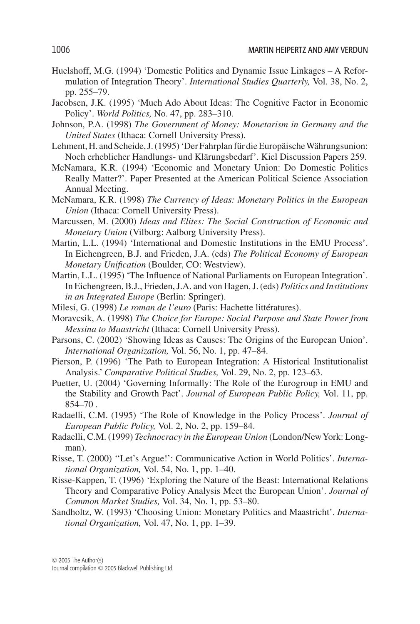- Huelshoff, M.G. (1994) 'Domestic Politics and Dynamic Issue Linkages A Reformulation of Integration Theory'. *International Studies Quarterly,* Vol. 38, No. 2, pp. 255–79.
- Jacobsen, J.K. (1995) 'Much Ado About Ideas: The Cognitive Factor in Economic Policy'. *World Politics,* No. 47, pp. 283–310.
- Johnson, P.A. (1998) *The Government of Money: Monetarism in Germany and the United States* (Ithaca: Cornell University Press).
- Lehment, H. and Scheide, J. (1995) 'Der Fahrplan für die Europäische Währungsunion: Noch erheblicher Handlungs- und Klärungsbedarf'. Kiel Discussion Papers 259.
- McNamara, K.R. (1994) 'Economic and Monetary Union: Do Domestic Politics Really Matter?'. Paper Presented at the American Political Science Association Annual Meeting.
- McNamara, K.R. (1998) *The Currency of Ideas: Monetary Politics in the European Union* (Ithaca: Cornell University Press).
- Marcussen, M. (2000) *Ideas and Elites: The Social Construction of Economic and Monetary Union* (Vilborg: Aalborg University Press).
- Martin, L.L. (1994) 'International and Domestic Institutions in the EMU Process'. In Eichengreen, B.J. and Frieden, J.A. (eds) *The Political Economy of European Monetary Unification* (Boulder, CO: Westview).
- Martin, L.L. (1995) 'The Influence of National Parliaments on European Integration'. In Eichengreen, B.J., Frieden, J.A. and von Hagen, J. (eds) *Politics and Institutions in an Integrated Europe* (Berlin: Springer).
- Milesi, G. (1998) *Le roman de l'euro* (Paris: Hachette littératures).
- Moravcsik, A. (1998) *The Choice for Europe: Social Purpose and State Power from Messina to Maastricht* (Ithaca: Cornell University Press).
- Parsons, C. (2002) 'Showing Ideas as Causes: The Origins of the European Union'. *International Organization,* Vol. 56, No. 1, pp. 47–84.
- Pierson, P. (1996) 'The Path to European Integration: A Historical Institutionalist Analysis.' *Comparative Political Studies,* Vol. 29, No. 2, pp*.* 123–63.
- Puetter, U. (2004) 'Governing Informally: The Role of the Eurogroup in EMU and the Stability and Growth Pact'. *Journal of European Public Policy,* Vol. 11, pp. 854–70 .
- Radaelli, C.M. (1995) 'The Role of Knowledge in the Policy Process'. *Journal of European Public Policy,* Vol. 2, No. 2, pp. 159–84.
- Radaelli, C.M. (1999) *Technocracy in the European Union* (London/New York: Longman).
- Risse, T. (2000) ''Let's Argue!': Communicative Action in World Politics'. *International Organization,* Vol. 54, No. 1, pp. 1–40.
- Risse-Kappen, T. (1996) 'Exploring the Nature of the Beast: International Relations Theory and Comparative Policy Analysis Meet the European Union'. *Journal of Common Market Studies,* Vol. 34, No. 1, pp. 53–80.
- Sandholtz, W. (1993) 'Choosing Union: Monetary Politics and Maastricht'. *International Organization,* Vol. 47, No. 1, pp. 1–39.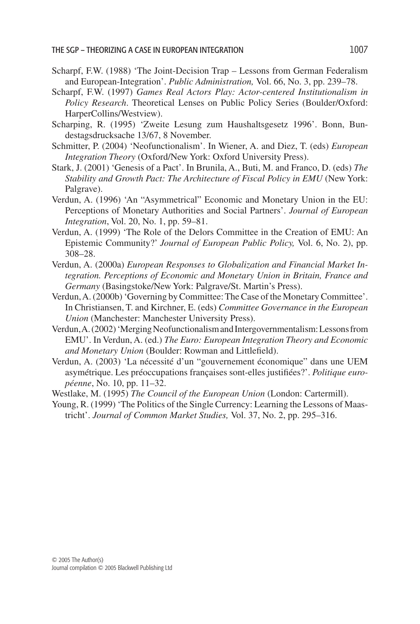- Scharpf, F.W. (1988) 'The Joint-Decision Trap Lessons from German Federalism and European-Integration'. *Public Administration,* Vol. 66, No. 3, pp. 239–78.
- Scharpf, F.W. (1997) *Games Real Actors Play: Actor-centered Institutionalism in Policy Research*. Theoretical Lenses on Public Policy Series (Boulder/Oxford: HarperCollins/Westview).
- Scharping, R. (1995) 'Zweite Lesung zum Haushaltsgesetz 1996'. Bonn, Bundestagsdrucksache 13/67, 8 November.
- Schmitter, P. (2004) 'Neofunctionalism'. In Wiener, A. and Diez, T. (eds) *European Integration Theory* (Oxford/New York: Oxford University Press).
- Stark, J. (2001) 'Genesis of a Pact'. In Brunila, A., Buti, M. and Franco, D. (eds) *The Stability and Growth Pact: The Architecture of Fiscal Policy in EMU* (New York: Palgrave).
- Verdun, A. (1996) 'An "Asymmetrical" Economic and Monetary Union in the EU: Perceptions of Monetary Authorities and Social Partners'. *Journal of European Integration*, Vol. 20, No. 1, pp. 59–81.
- Verdun, A. (1999) 'The Role of the Delors Committee in the Creation of EMU: An Epistemic Community?' *Journal of European Public Policy,* Vol. 6, No. 2), pp. 308–28.
- Verdun, A. (2000a) *European Responses to Globalization and Financial Market Integration. Perceptions of Economic and Monetary Union in Britain, France and Germany* (Basingstoke/New York: Palgrave/St. Martin's Press).
- Verdun, A. (2000b) 'Governing by Committee: The Case of the Monetary Committee'. In Christiansen, T. and Kirchner, E. (eds) *Committee Governance in the European Union* (Manchester: Manchester University Press).
- Verdun, A. (2002) 'Merging Neofunctionalism and Intergovernmentalism: Lessons from EMU'. In Verdun, A. (ed.) *The Euro: European Integration Theory and Economic and Monetary Union* (Boulder: Rowman and Littlefield).
- Verdun, A. (2003) 'La nécessité d'un "gouvernement économique" dans une UEM asymétrique. Les préoccupations françaises sont-elles justifiées?'. *Politique européenne*, No. 10, pp. 11–32.
- Westlake, M. (1995) *The Council of the European Union* (London: Cartermill).
- Young, R. (1999) 'The Politics of the Single Currency: Learning the Lessons of Maastricht'. *Journal of Common Market Studies,* Vol. 37, No. 2, pp. 295–316.